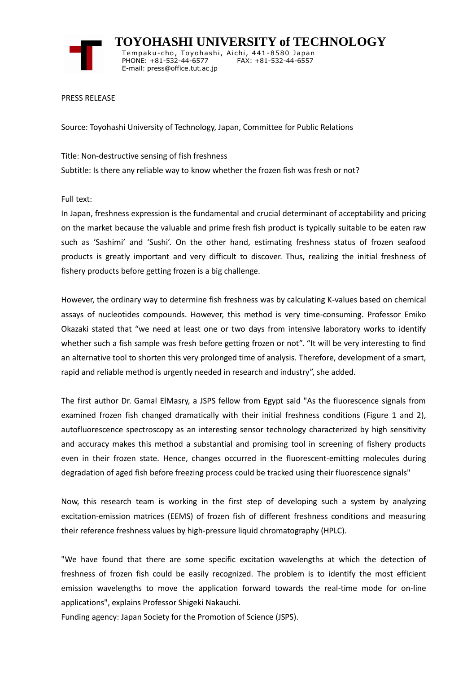

 **TOYOHASHI UNIVERSITY of TECHNOLOGY** Tempaku-cho, Toyohashi, Aichi, 441-8580 Japan<br>PHONE: +81-532-44-6577 FAX: +81-532-44-6557 PHONE: +81-532-44-6577 E-mail: press@office.tut.ac.jp

PRESS RELEASE

Source: Toyohashi University of Technology, Japan, Committee for Public Relations

Title: Non-destructive sensing of fish freshness Subtitle: Is there any reliable way to know whether the frozen fish was fresh or not?

Full text:

In Japan, freshness expression is the fundamental and crucial determinant of acceptability and pricing on the market because the valuable and prime fresh fish product is typically suitable to be eaten raw such as 'Sashimi' and 'Sushi'. On the other hand, estimating freshness status of frozen seafood products is greatly important and very difficult to discover. Thus, realizing the initial freshness of fishery products before getting frozen is a big challenge.

However, the ordinary way to determine fish freshness was by calculating K-values based on chemical assays of nucleotides compounds. However, this method is very time-consuming. Professor Emiko Okazaki stated that "we need at least one or two days from intensive laboratory works to identify whether such a fish sample was fresh before getting frozen or not". "It will be very interesting to find an alternative tool to shorten this very prolonged time of analysis. Therefore, development of a smart, rapid and reliable method is urgently needed in research and industry", she added.

The first author Dr. Gamal ElMasry, a JSPS fellow from Egypt said "As the fluorescence signals from examined frozen fish changed dramatically with their initial freshness conditions (Figure 1 and 2), autofluorescence spectroscopy as an interesting sensor technology characterized by high sensitivity and accuracy makes this method a substantial and promising tool in screening of fishery products even in their frozen state. Hence, changes occurred in the fluorescent-emitting molecules during degradation of aged fish before freezing process could be tracked using their fluorescence signals"

Now, this research team is working in the first step of developing such a system by analyzing excitation-emission matrices (EEMS) of frozen fish of different freshness conditions and measuring their reference freshness values by high-pressure liquid chromatography (HPLC).

"We have found that there are some specific excitation wavelengths at which the detection of freshness of frozen fish could be easily recognized. The problem is to identify the most efficient emission wavelengths to move the application forward towards the real-time mode for on-line applications", explains Professor Shigeki Nakauchi.

Funding agency: Japan Society for the Promotion of Science (JSPS).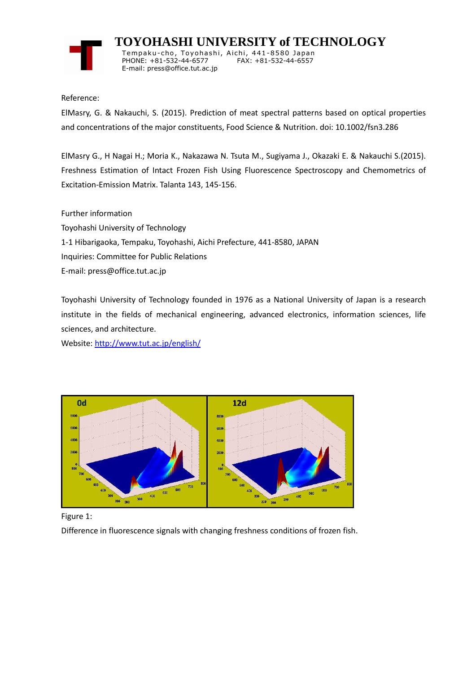

 **TOYOHASHI UNIVERSITY of TECHNOLOGY** Temp aku-cho , To y oha s hi , Ai chi , 441-8580 Jap an PHONE: +81-532-44-6577 E-mail: press@office.tut.ac.jp

Reference:

ElMasry, G. & Nakauchi, S. (2015). Prediction of meat spectral patterns based on optical properties and concentrations of the major constituents, Food Science & Nutrition. doi: 10.1002/fsn3.286

ElMasry G., H Nagai H.; Moria K., Nakazawa N. Tsuta M., Sugiyama J., Okazaki E. & Nakauchi S.(2015). Freshness Estimation of Intact Frozen Fish Using Fluorescence Spectroscopy and Chemometrics of Excitation-Emission Matrix. Talanta 143, 145-156.

Further information

Toyohashi University of Technology 1-1 Hibarigaoka, Tempaku, Toyohashi, Aichi Prefecture, 441-8580, JAPAN Inquiries: Committee for Public Relations E-mail: press@office.tut.ac.jp

Toyohashi University of Technology founded in 1976 as a National University of Japan is a research institute in the fields of mechanical engineering, advanced electronics, information sciences, life sciences, and architecture.

Website[: http://www.tut.ac.jp/english/](https://www.tut.ac.jp/english/)



Figure 1:

Difference in fluorescence signals with changing freshness conditions of frozen fish.